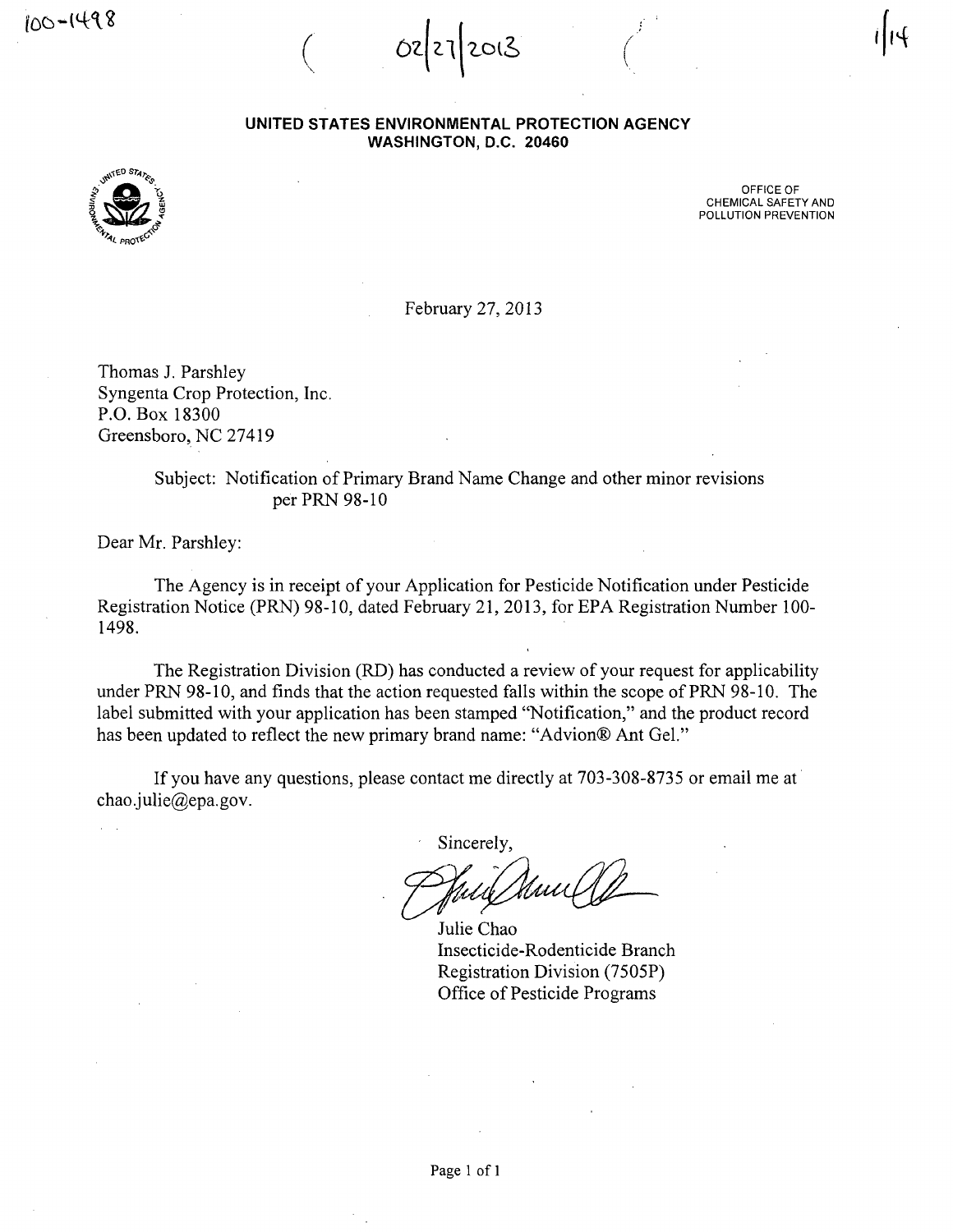100-1498

02/27/2013

UNITED STATES ENVIRONMENTAL PROTECTION AGENCY WASHINGTON, D.C. 20460



OFFICE OF CHEMICAL SAFETY AND POLLUTION PREVENTION

February 27, 2013

Thomas J. Parshley Syngenta Crop Protection, Inc. P.O.Box 18300 Greensboro, NC 27419

> Subject: Notification of Primary Brand Name Change and other minor revisions per PRN 98-10

Dear Mr. Parshley:

The Agency is in receipt of your Application for Pesticide Notification under Pesticide Registration Notice (PRN) 98-10, dated February 21, 2013, for EPA Registration Number 100- 1498.

The Registration Division (RD) has conducted a review of your request for applicability under PRN 98-10, and finds that the action requested falls within the scope of PRN 98-10. The label submitted with your application has been stamped "Notification," and the product record has been updated to reflect the new primary brand name: "Advion® Ant Gel."

If you have any questions, please contact me directly at 703-308-8735 or email me at chao.julie@epa.gov.

Sincerely,

Julie Chao Insecticide-Rodenticide Branch Registration Division (7505P) Office of Pesticide Programs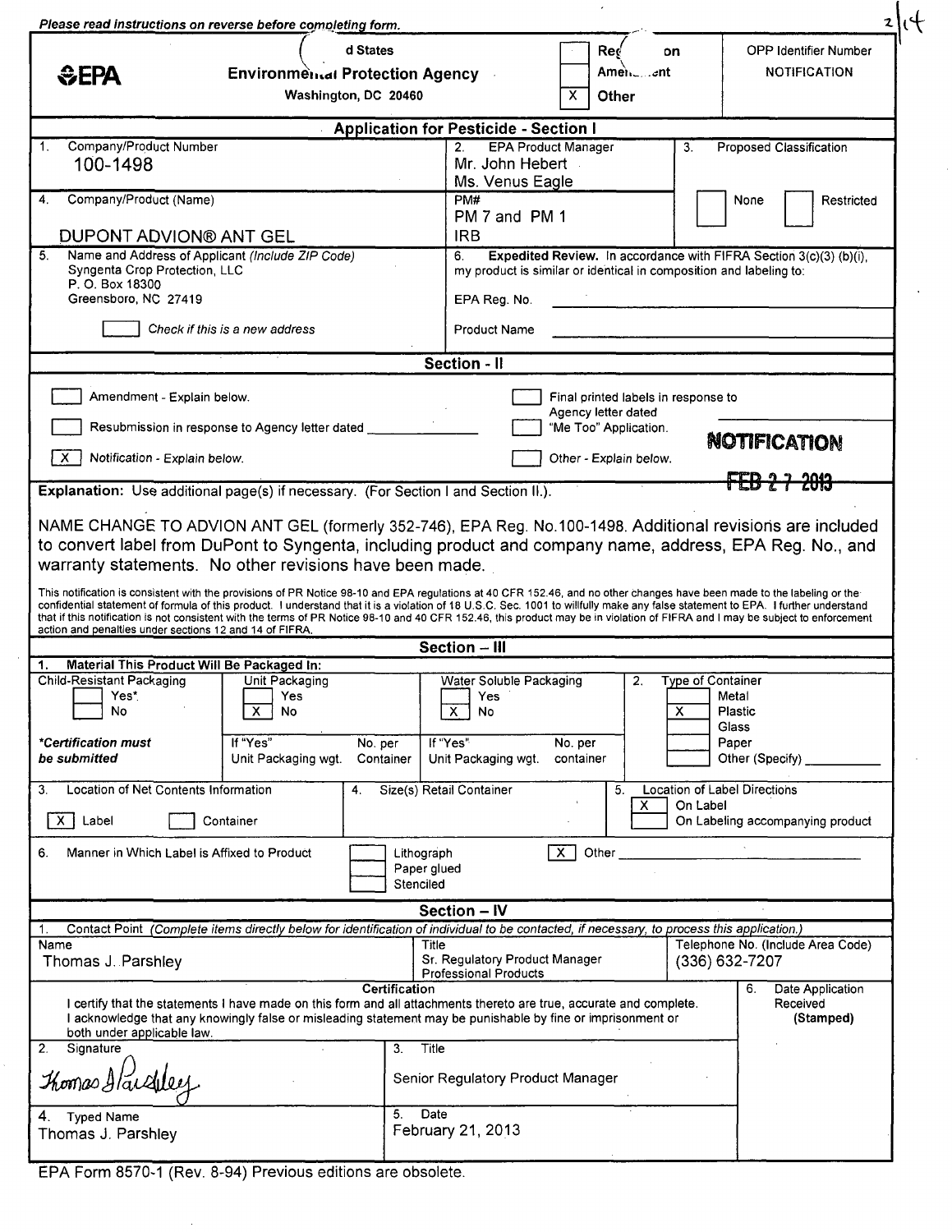| d States<br><b>Red</b><br>on<br>Amen∟…⊿nt⊹<br>EPA<br><b>Environmental Protection Agency</b><br>Washington, DC 20460<br>X<br>Other<br><b>Application for Pesticide - Section I</b><br>Company/Product Number<br><b>EPA Product Manager</b><br>1 <sub>1</sub><br>2 <sub>1</sub><br>3.<br>100-1498<br>Mr. John Hebert<br>Ms. Venus Eagle<br>Company/Product (Name)<br>PM#<br>4.<br>PM 7 and PM 1<br>DUPONT ADVION® ANT GEL<br><b>IRB</b><br>5.<br>Name and Address of Applicant (Include ZIP Code)<br>Expedited Review. In accordance with FIFRA Section 3(c)(3) (b)(i),<br>6.<br>Syngenta Crop Protection, LLC<br>my product is similar or identical in composition and labeling to:<br>P. O. Box 18300<br>Greensboro, NC 27419<br>EPA Reg. No.<br>Check if this is a new address<br><b>Product Name</b><br>Section - Il<br>Amendment - Explain below.<br>Final printed labels in response to<br>Agency letter dated<br>Resubmission in response to Agency letter dated<br>"Me Too" Application.<br>X.<br>Notification - Explain below.<br>Other - Explain below.<br>Explanation: Use additional page(s) if necessary. (For Section I and Section II.).<br>NAME CHANGE TO ADVION ANT GEL (formerly 352-746), EPA Reg. No.100-1498. Additional revisions are included | <b>OPP Identifier Number</b><br><b>NOTIFICATION</b><br>Proposed Classification<br>None<br>Restricted<br><b>NOTIFICATION</b> |
|--------------------------------------------------------------------------------------------------------------------------------------------------------------------------------------------------------------------------------------------------------------------------------------------------------------------------------------------------------------------------------------------------------------------------------------------------------------------------------------------------------------------------------------------------------------------------------------------------------------------------------------------------------------------------------------------------------------------------------------------------------------------------------------------------------------------------------------------------------------------------------------------------------------------------------------------------------------------------------------------------------------------------------------------------------------------------------------------------------------------------------------------------------------------------------------------------------------------------------------------------------------------|-----------------------------------------------------------------------------------------------------------------------------|
|                                                                                                                                                                                                                                                                                                                                                                                                                                                                                                                                                                                                                                                                                                                                                                                                                                                                                                                                                                                                                                                                                                                                                                                                                                                                    |                                                                                                                             |
|                                                                                                                                                                                                                                                                                                                                                                                                                                                                                                                                                                                                                                                                                                                                                                                                                                                                                                                                                                                                                                                                                                                                                                                                                                                                    |                                                                                                                             |
|                                                                                                                                                                                                                                                                                                                                                                                                                                                                                                                                                                                                                                                                                                                                                                                                                                                                                                                                                                                                                                                                                                                                                                                                                                                                    |                                                                                                                             |
|                                                                                                                                                                                                                                                                                                                                                                                                                                                                                                                                                                                                                                                                                                                                                                                                                                                                                                                                                                                                                                                                                                                                                                                                                                                                    |                                                                                                                             |
|                                                                                                                                                                                                                                                                                                                                                                                                                                                                                                                                                                                                                                                                                                                                                                                                                                                                                                                                                                                                                                                                                                                                                                                                                                                                    |                                                                                                                             |
|                                                                                                                                                                                                                                                                                                                                                                                                                                                                                                                                                                                                                                                                                                                                                                                                                                                                                                                                                                                                                                                                                                                                                                                                                                                                    |                                                                                                                             |
|                                                                                                                                                                                                                                                                                                                                                                                                                                                                                                                                                                                                                                                                                                                                                                                                                                                                                                                                                                                                                                                                                                                                                                                                                                                                    |                                                                                                                             |
|                                                                                                                                                                                                                                                                                                                                                                                                                                                                                                                                                                                                                                                                                                                                                                                                                                                                                                                                                                                                                                                                                                                                                                                                                                                                    |                                                                                                                             |
|                                                                                                                                                                                                                                                                                                                                                                                                                                                                                                                                                                                                                                                                                                                                                                                                                                                                                                                                                                                                                                                                                                                                                                                                                                                                    |                                                                                                                             |
|                                                                                                                                                                                                                                                                                                                                                                                                                                                                                                                                                                                                                                                                                                                                                                                                                                                                                                                                                                                                                                                                                                                                                                                                                                                                    |                                                                                                                             |
|                                                                                                                                                                                                                                                                                                                                                                                                                                                                                                                                                                                                                                                                                                                                                                                                                                                                                                                                                                                                                                                                                                                                                                                                                                                                    |                                                                                                                             |
| to convert label from DuPont to Syngenta, including product and company name, address, EPA Reg. No., and<br>warranty statements. No other revisions have been made.<br>This notification is consistent with the provisions of PR Notice 98-10 and EPA regulations at 40 CFR 152.46, and no other changes have been made to the labeling or the<br>confidential statement of formula of this product. I understand that it is a violation of 18 U.S.C. Sec. 1001 to willfully make any false statement to EPA. I further understand<br>that if this notification is not consistent with the terms of PR Notice 98-10 and 40 CFR 152.46, this product may be in violation of FIFRA and I may be subject to enforcement                                                                                                                                                                                                                                                                                                                                                                                                                                                                                                                                               |                                                                                                                             |
| action and penalties under sections 12 and 14 of FIFRA.<br>Section - III                                                                                                                                                                                                                                                                                                                                                                                                                                                                                                                                                                                                                                                                                                                                                                                                                                                                                                                                                                                                                                                                                                                                                                                           |                                                                                                                             |
| Material This Product Will Be Packaged In:<br>1.                                                                                                                                                                                                                                                                                                                                                                                                                                                                                                                                                                                                                                                                                                                                                                                                                                                                                                                                                                                                                                                                                                                                                                                                                   |                                                                                                                             |
| Child-Resistant Packaging<br>Unit Packaging<br>2.<br>Water Soluble Packaging<br>Yes*<br>Yes<br>Yes                                                                                                                                                                                                                                                                                                                                                                                                                                                                                                                                                                                                                                                                                                                                                                                                                                                                                                                                                                                                                                                                                                                                                                 | Type of Container<br>Metal                                                                                                  |
| No<br>X<br>No<br>X<br>X<br>No                                                                                                                                                                                                                                                                                                                                                                                                                                                                                                                                                                                                                                                                                                                                                                                                                                                                                                                                                                                                                                                                                                                                                                                                                                      | Plastic<br>Glass                                                                                                            |
| If "Yes"<br>*Certification must<br>If "Yes"<br>No. per<br>No. per                                                                                                                                                                                                                                                                                                                                                                                                                                                                                                                                                                                                                                                                                                                                                                                                                                                                                                                                                                                                                                                                                                                                                                                                  | Paper                                                                                                                       |
| be submitted<br>Unit Packaging wgt.<br>Container<br>Unit Packaging wgt.<br>container                                                                                                                                                                                                                                                                                                                                                                                                                                                                                                                                                                                                                                                                                                                                                                                                                                                                                                                                                                                                                                                                                                                                                                               | Other (Specify) ______                                                                                                      |
| Location of Net Contents Information<br>Size(s) Retail Container<br>5.<br>З.<br>4.<br>On Label<br>X<br>$\mathsf{X}$<br>Label<br>Container                                                                                                                                                                                                                                                                                                                                                                                                                                                                                                                                                                                                                                                                                                                                                                                                                                                                                                                                                                                                                                                                                                                          | Location of Label Directions<br>On Labeling accompanying product                                                            |
| Manner in Which Label is Affixed to Product<br>$\overline{\mathsf{x}}$<br>Other<br>6.<br>Lithograph<br>Paper glued                                                                                                                                                                                                                                                                                                                                                                                                                                                                                                                                                                                                                                                                                                                                                                                                                                                                                                                                                                                                                                                                                                                                                 |                                                                                                                             |
| Stenciled                                                                                                                                                                                                                                                                                                                                                                                                                                                                                                                                                                                                                                                                                                                                                                                                                                                                                                                                                                                                                                                                                                                                                                                                                                                          |                                                                                                                             |
| Section - IV                                                                                                                                                                                                                                                                                                                                                                                                                                                                                                                                                                                                                                                                                                                                                                                                                                                                                                                                                                                                                                                                                                                                                                                                                                                       |                                                                                                                             |
| Contact Point (Complete items directly below for identification of individual to be contacted, if necessary, to process this application.)<br>1.<br>Title<br>Name<br>Sr. Regulatory Product Manager<br>Thomas J. Parshley                                                                                                                                                                                                                                                                                                                                                                                                                                                                                                                                                                                                                                                                                                                                                                                                                                                                                                                                                                                                                                          | Telephone No. (Include Area Code)<br>$(336) 632 - 7207$                                                                     |
| <b>Professional Products</b><br><b>Certification</b>                                                                                                                                                                                                                                                                                                                                                                                                                                                                                                                                                                                                                                                                                                                                                                                                                                                                                                                                                                                                                                                                                                                                                                                                               |                                                                                                                             |
|                                                                                                                                                                                                                                                                                                                                                                                                                                                                                                                                                                                                                                                                                                                                                                                                                                                                                                                                                                                                                                                                                                                                                                                                                                                                    |                                                                                                                             |
| I certify that the statements I have made on this form and all attachments thereto are true, accurate and complete.<br>I acknowledge that any knowingly false or misleading statement may be punishable by fine or imprisonment or<br>both under applicable law.                                                                                                                                                                                                                                                                                                                                                                                                                                                                                                                                                                                                                                                                                                                                                                                                                                                                                                                                                                                                   | Date Application<br>6.<br>Received<br>(Stamped)                                                                             |
| Title<br>Signature<br>3 <sub>1</sub>                                                                                                                                                                                                                                                                                                                                                                                                                                                                                                                                                                                                                                                                                                                                                                                                                                                                                                                                                                                                                                                                                                                                                                                                                               |                                                                                                                             |
| 2.<br>Thomas Hardley<br>Senior Regulatory Product Manager                                                                                                                                                                                                                                                                                                                                                                                                                                                                                                                                                                                                                                                                                                                                                                                                                                                                                                                                                                                                                                                                                                                                                                                                          |                                                                                                                             |

EPA Form 8570-1 (Rev. 8-94) Previous editions are obsolete.

l,

 $\bar{\alpha}$ 

 $\hat{\mathcal{E}}$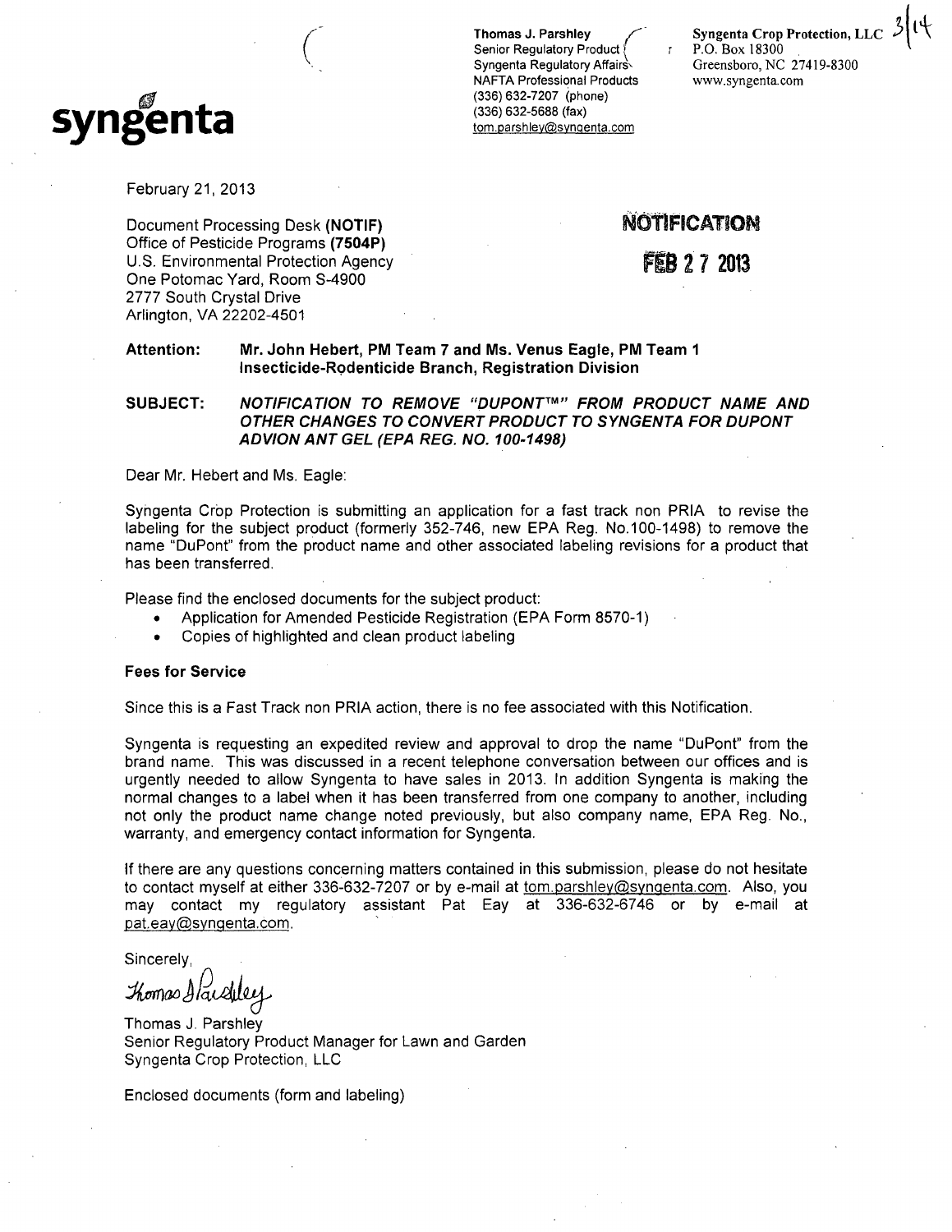

Senior Regulatory Product Syngenta Regulatory Affairs Greensboro, NC 27419-8300 NAFTA Professional Products www.syngenta.com (336)632-7207 (phone) (336) 632-5688 (fax) tom.parshley@syngenta.com

Thomas J. Parshley<br>Senior Regulatory Product  $\begin{pmatrix} 1 & 0 \\ 0 & 1 \end{pmatrix}$  P.O. Box 18300

February 21, 2013

Document Processing Desk (NOTIF) Office of Pesticide Programs (7504P) U.S. Environmental Protection Agency One Potomac Yard, Room S-4900 2777 South Crystal Drive Arlington, VA 22202-4501

**NOTIFICATION** 

FEB 2 7 2013

#### Attention: Mr. John Hebert, PM Team 7 and Ms. Venus Eagle, PM Team 1 Insecticide-Rpdenticide Branch, Registration Division

SUBJECT: NOTIFICATION TO REMOVE "DUPONT™" FROM PRODUCT NAME AND OTHER CHANGES TO CONVERT PRODUCT TO SYNGENTA FOR DUPONT ADVIONANTGEL (EPA REG. NO. 100-1498)

Dear Mr. Hebert and Ms. Eagle:

Syngenta Crop Protection is submitting an application for a fast track non PRIA to revise the labeling for the subject product (formerly 352-746, new EPA Reg. No. 100-1498) to remove the name "DuPont" from the product name and other associated labeling revisions for a product that has been transferred.

Please find the enclosed documents for the subject product:

- Application for Amended Pesticide Registration (EPA Form 8570-1)
- Copies of highlighted and clean product labeling

#### Fees for Service

Since this is a Fast Track non PRIA action, there is no fee associated with this Notification.

Syngenta is requesting an expedited review and approval to drop the name "DuPont" from the brand name. This was discussed in a recent telephone conversation between our offices and is urgently needed to allow Syngenta to have sales in 2013. In addition Syngenta is making the normal changes to a label when it has been transferred from one company to another, including not only the product name change noted previously, but also company name, EPA Reg. No., warranty, and emergency contact information for Syngenta.

If there are any questions concerning matters contained in this submission, please do not hesitate to contact myself at either 336-632-7207 or by e-mail at tom.parshley@syngenta.com. Also, you may contact my regulatory assistant Pat Eay at 336-632-6746 or by e-mail at pat.eay@syngenta.com.

Sincerely,

Thomas Hardley

Thomas J. Parshley Senior Regulatory Product Manager for Lawn and Garden Syngenta Crop Protection, LLC

Enclosed documents (form and labeling)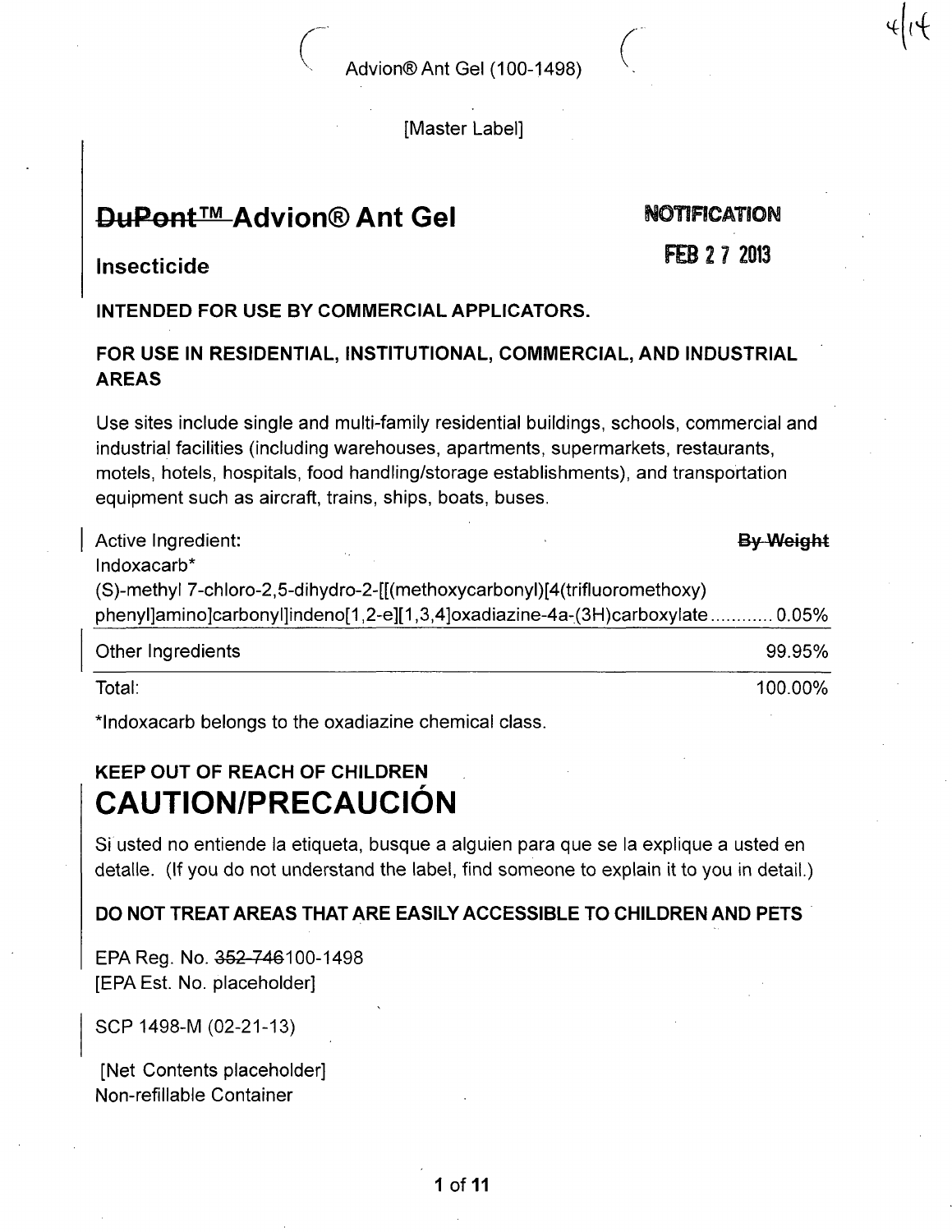#### [Master Label]

# **DuPont™ Advion® Ant Gel NOTIFICATION**

x

**FEB 2 7 2013** 

#### Insecticide rconte de la construction de la construction de la construction de la construction de la construction de la co<br>Décrité de la construction de la construction de la construction de la construction de la construction de la c

INTENDED FOR USE BY COMMERCIAL APPLICATORS.

## FOR USE IN RESIDENTIAL, INSTITUTIONAL, COMMERCIAL, AND INDUSTRIAL AREAS

Use sites include single and multi-family residential buildings, schools, commercial and industrial facilities (including warehouses, apartments, supermarkets, restaurants, motels, hotels, hospitals, food handling/storage establishments), and transportation equipment such as aircraft, trains, ships, boats, buses.

| Active Ingredient:                                                           | By Weight |
|------------------------------------------------------------------------------|-----------|
| Indoxacarb*                                                                  |           |
| (S)-methyl 7-chloro-2,5-dihydro-2-[[(methoxycarbonyl)[4(trifluoromethoxy)    |           |
| phenyl]amino]carbonyl]indeno[1,2-e][1,3,4]oxadiazine-4a-(3H)carboxylate0.05% |           |
| Other Ingredients                                                            | 99.95%    |
| Total:                                                                       | 100.00%   |

\*lndoxacarb belongs to the oxadiazine chemical class.

# KEEP OUT OF REACH OF CHILDREN CAUTION/PRECAUCIÓN

Si usted no entiende la etiqueta, busque a alguien para que se la explique a usted en detalle. (If you do not understand the label, find someone to explain it to you in detail.)

## DO NOT TREAT AREAS THAT ARE EASILY ACCESSIBLE TO CHILDREN AND PETS

EPA Reg. No. 352-746100-1498 [EPA Est. No. placeholder]

SCP1498-M (02-21-13)

[Net Contents placeholder] Non-refillable Container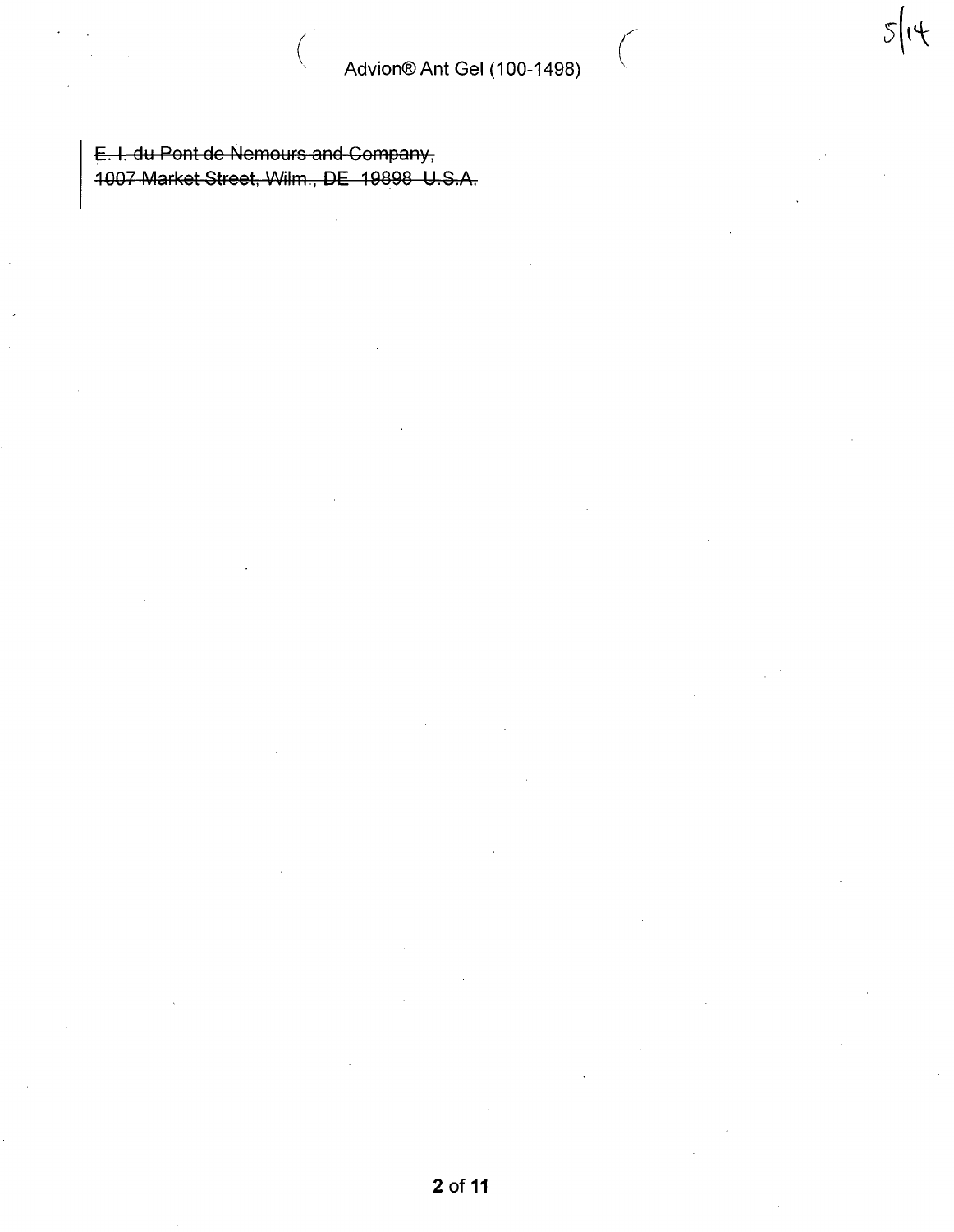$5|14$ 

E. I. du Pont de Nemours and Company, 1007 Market Stroot, Wilm., BE 19898 U.S.A.

 $\left($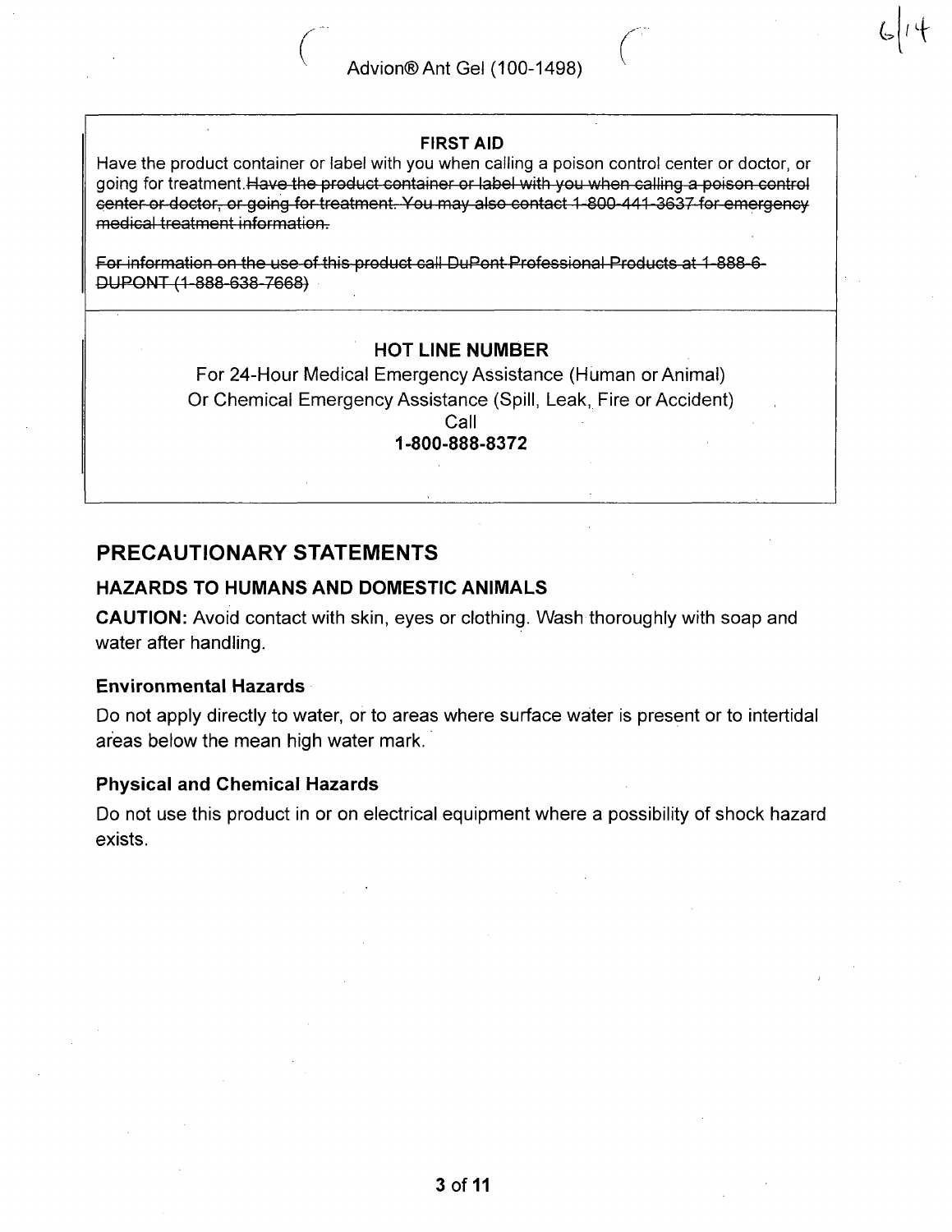#### FIRST AID

Have the product container or label with you when calling a poison control center or doctor, or going for treatment.Have the product container or label with you when calling a poison control center or doctor, or going for treatment. You may also contact 1-800-441-3637 for emergency medical treatment information.

For information on the use of this product call DuPont Professional Products at 1-888-6- DUPONT (1 888 638 7668)

#### HOT LINE NUMBER

For 24-Hour Medical Emergency Assistance (Human or Animal) Or Chemical Emergency Assistance (Spill, Leak, Fire or Accident) Call

1-800-888-8372

# PRECAUTIONARY STATEMENTS

#### HAZARDS TO HUMANS AND DOMESTIC ANIMALS

CAUTION: Avoid contact with skin, eyes or clothing. Wash thoroughly with soap and water after handling.

#### Environmental Hazards

Do not apply directly to water, or to areas where surface water is present or to intertidal areas below the mean high water mark.

#### Physical and Chemical Hazards

Do not use this product in or on electrical equipment where a possibility of shock hazard exists.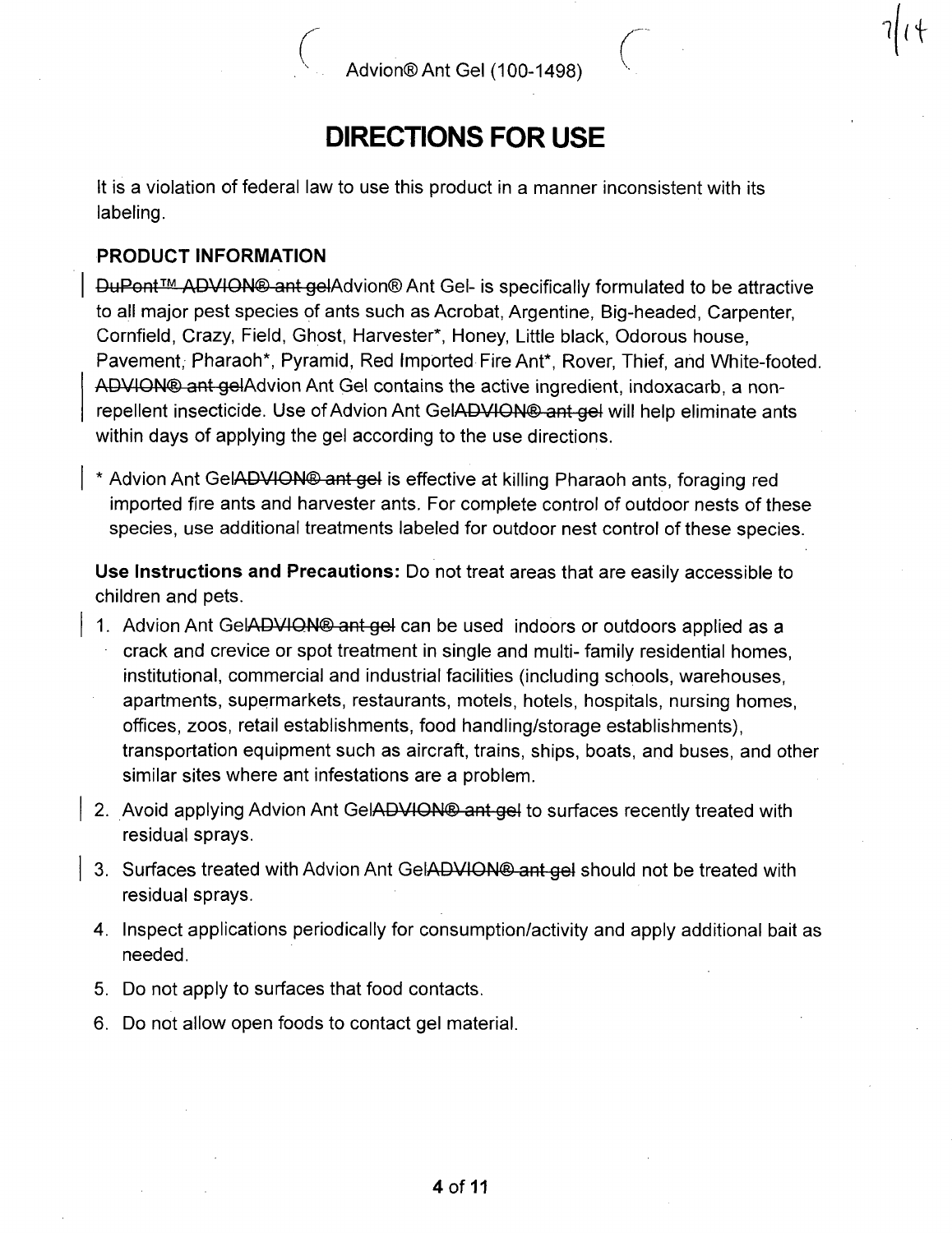$\eta$ 

# DIRECTIONS FOR USE

It is a violation of federal law to use this product in a manner inconsistent with its labeling.

## PRODUCT INFORMATION

DuPont<sup>™</sup> ADVION<sup>®</sup> ant gelAdvion<sup>®</sup> Ant Gel- is specifically formulated to be attractive to all major pest species of ants such as Acrobat, Argentine, Big-headed, Carpenter, Cornfield, Crazy, Field, Ghost, Harvester\*, Honey, Little black, Odorous house, Pavement, Pharaoh\*, Pyramid, Red Imported Fire Ant\*, Rover, Thief, and White-footed. ADVION® ant gelAdvion Ant Gel contains the active ingredient, indoxacarb, a nonrepellent insecticide. Use of Advion Ant GelADVION® ant gel will help eliminate ants within days of applying the gel according to the use directions.

\* Advion Ant GelADVION® ant gel is effective at killing Pharaoh ants, foraging red imported fire ants and harvester ants. For complete control of outdoor nests of these species, use additional treatments labeled for outdoor nest control of these species.

Use Instructions and Precautions: Do not treat areas that are easily accessible to children and pets.

- 1. Advion Ant GelADVION® ant gel can be used indoors or outdoors applied as a crack and crevice or spot treatment in single and multi- family residential homes, institutional, commercial and industrial facilities (including schools, warehouses, apartments, supermarkets, restaurants, motels, hotels, hospitals, nursing homes, offices, zoos, retail establishments, food handling/storage establishments), transportation equipment such as aircraft, trains, ships, boats, and buses, and other similar sites where ant infestations are a problem.
- 2. Avoid applying Advion Ant GelADVION® ant gel to surfaces recently treated with residual sprays.
- 3. Surfaces treated with Advion Ant GelADVION® ant gel should not be treated with residual sprays.
- 4. Inspect applications periodically for consumption/activity and apply additional bait as needed.
- 5. Do not apply to surfaces that food contacts.
- 6. Do not allow open foods to contact gel material.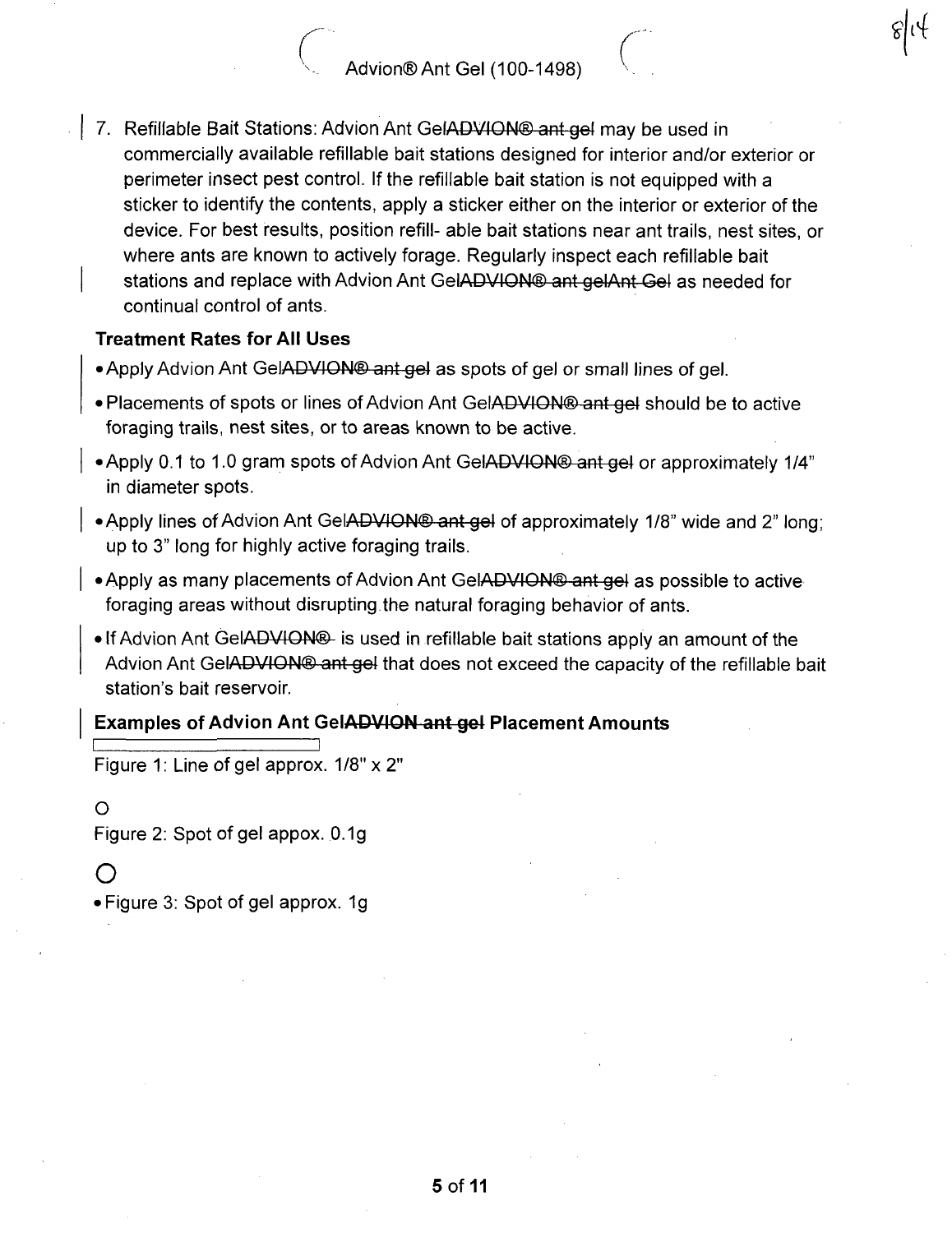7. Refillable Bait Stations: Advion Ant GelADVION® ant gel may be used in commercially available refillable bait stations designed for interior and/or exterior or perimeter insect pest control. If the refillable bait station is not equipped with a sticker to identify the contents, apply a sticker either on the interior or exterior of the device. For best results, position refill- able bait stations near ant trails, nest sites, or where ants are known to actively forage. Regularly inspect each refillable bait stations and replace with Advion Ant GelADVION® ant gelAnt Gel as needed for continual control of ants.

#### Treatment Rates for All Uses

- Apply Advion Ant GelADVION<sup>®</sup> ant gel as spots of gel or small lines of gel.
- Placements of spots or lines of Advion Ant GelADVION® ant gel should be to active foraging trails, nest sites, or to areas known to be active.
- Apply 0.1 to 1.0 gram spots of Advion Ant GelADVION® ant gel or approximately 1/4" in diameter spots.
- Apply lines of Advion Ant GelADVION® ant gol of approximately 1/8" wide and 2" long; up to 3" long for highly active foraging trails.
- **Apply as many placements of Advion Ant GeI<del>ADVION® ant gel</del> as possible to active** foraging areas without disrupting the natural foraging behavior of ants.
	- If Advion Ant GelADVlON® is used in refillable bait stations apply an amount of the Advion Ant GelADVION<sup>®</sup> ant gel that does not exceed the capacity of the refillable bait station's bait reservoir.

#### Examples of Advion Ant GelADVION ant gel Placement Amounts

Figure 1: Line of gel approx. 1/8" x 2"

#### $\Omega$

Figure 2: Spot of gel appox. 0.1g

## $\bigcap$

• Figure 3: Spot of gel approx. 1g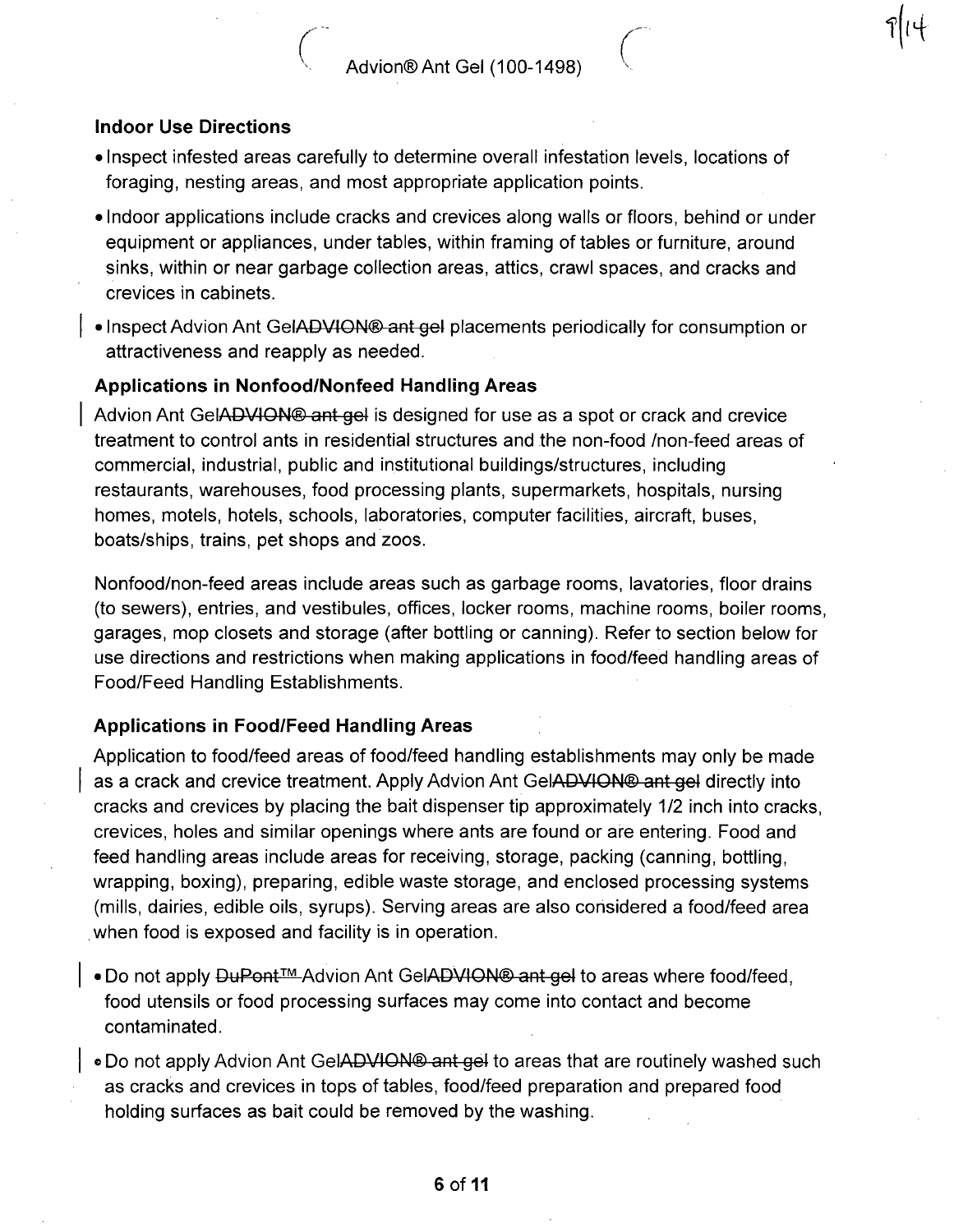#### Indoor Use Directions

- Inspect infested areas carefully to determine overall infestation levels, locations of foraging, nesting areas, and most appropriate application points.
- Indoor applications include cracks and crevices along walls or floors, behind or under equipment or appliances, under tables, within framing of tables or furniture, around sinks, within or near garbage collection areas, attics, crawl spaces, and cracks and crevices in cabinets.
- Inspect Advion Ant GeIADVION<sup>®</sup> ant gel placements periodically for consumption or attractiveness and reapply as needed.

#### Applications in Nonfood/Nonfeed Handling Areas

Advion Ant GelADVION<sup>®</sup> ant gel is designed for use as a spot or crack and crevice treatment to control ants in residential structures and the non-food /non-feed areas of commercial, industrial, public and institutional buildings/structures, including restaurants, warehouses, food processing plants, supermarkets, hospitals, nursing homes, motels, hotels, schools, laboratories, computer facilities, aircraft, buses, boats/ships, trains, pet shops and zoos.

Nonfood/non-feed areas include areas such as garbage rooms, lavatories, floor drains (to sewers), entries, and vestibules, offices, locker rooms, machine rooms, boiler rooms, garages, mop closets and storage (after bottling or canning). Refer to section below for use directions and restrictions when making applications in food/feed handling areas of Food/Feed Handling Establishments.

#### Applications in Food/Feed Handling Areas

Application to food/feed areas of food/feed handling establishments may only be made as a crack and crevice treatment. Apply Advion Ant GelADVION® ant gel directly into cracks and crevices by placing the bait dispenser tip approximately 1/2 inch into cracks, crevices, holes and similar openings where ants are found or are entering. Food and feed handling areas include areas for receiving, storage, packing (canning, bottling, wrapping, boxing), preparing, edible waste storage, and enclosed processing systems (mills, dairies, edible oils, syrups). Serving areas are also considered a food/feed area when food is exposed and facility is in operation.

- Do not apply DuPont™ Advion Ant GelADVION® ant gel to areas where food/feed, food utensils or food processing surfaces may come into contact and become contaminated.
- » Do not apply Advion Ant GelADVION® ant gel to areas that are routinely washed such as cracks and crevices in tops of tables, food/feed preparation and prepared food holding surfaces as bait could be removed by the washing.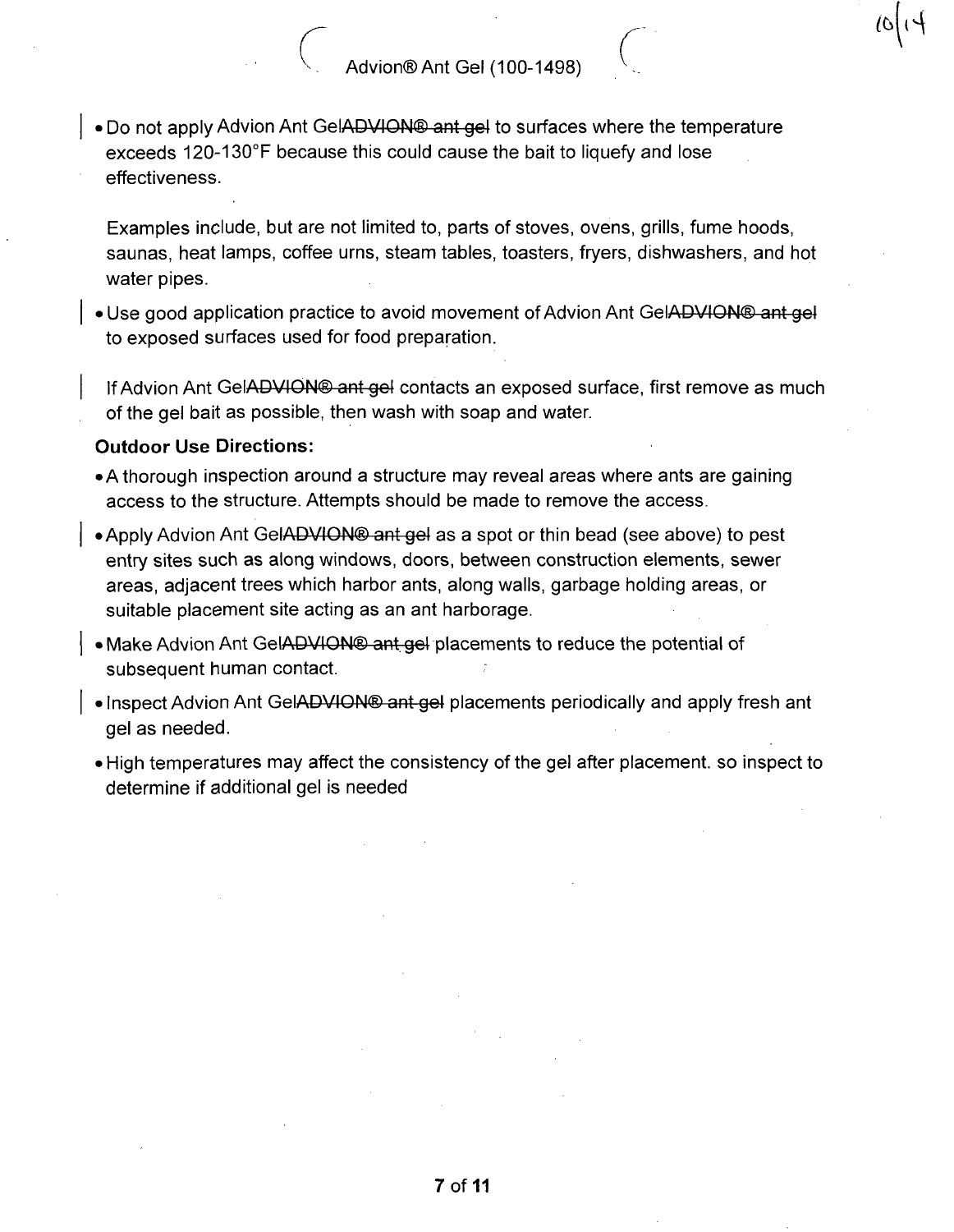• Do not apply Advion Ant GelADVION<sup>®</sup> ant gel to surfaces where the temperature exceeds 120-130°F because this could cause the bait to liquefy and lose effectiveness.

Examples include, but are not limited to, parts of stoves, ovens, grills, fume hoods, saunas, heat lamps, coffee urns, steam tables, toasters, fryers, dishwashers, and hot water pipes.

• Use good application practice to avoid movement of Advion Ant GelADVION® ant gel to exposed surfaces used for food preparation.

If Advion Ant GeIADVION<sup>®</sup> ant gel contacts an exposed surface, first remove as much of the gel bait as possible, then wash with soap and water.

#### Outdoor Use Directions:

- A thorough inspection around a structure may reveal areas where ants are gaining access to the structure. Attempts should be made to remove the access.
- Apply Advion Ant GelADVION<sup>®</sup> ant gel as a spot or thin bead (see above) to pest entry sites such as along windows, doors, between construction elements, sewer areas, adjacent trees which harbor ants, along walls, garbage holding areas, or suitable placement site acting as an ant harborage.
- Make Advion Ant GelADVION<sup>®</sup> ant gel placements to reduce the potential of subsequent human contact.
- Inspect Advion Ant GelADVION® ant gel placements periodically and apply fresh ant gel as needed.
- High temperatures may affect the consistency of the gel after placement, so inspect to determine if additional gel is needed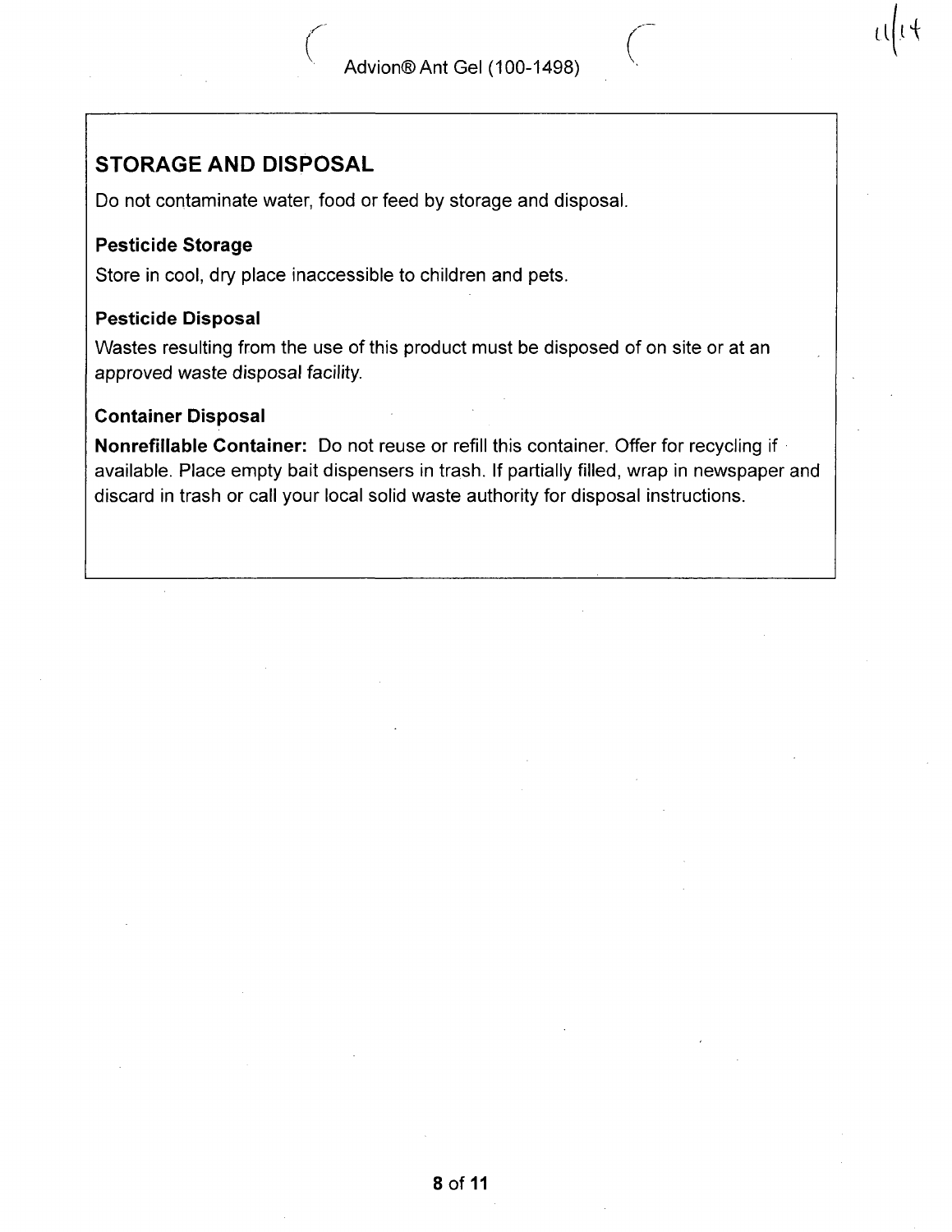# STORAGE AND DISPOSAL

Do not contaminate water, food or feed by storage and disposal.

#### Pesticide Storage

Store in cool, dry place inaccessible to children and pets.

#### Pesticide Disposal

Wastes resulting from the use of this product must be disposed of on site or at an approved waste disposal facility.

#### Container Disposal

Nonrefillable Container: Do not reuse or refill this container. Offer for recycling if available. Place empty bait dispensers in trash. If partially filled, wrap in newspaper and discard in trash or call your local solid waste authority for disposal instructions.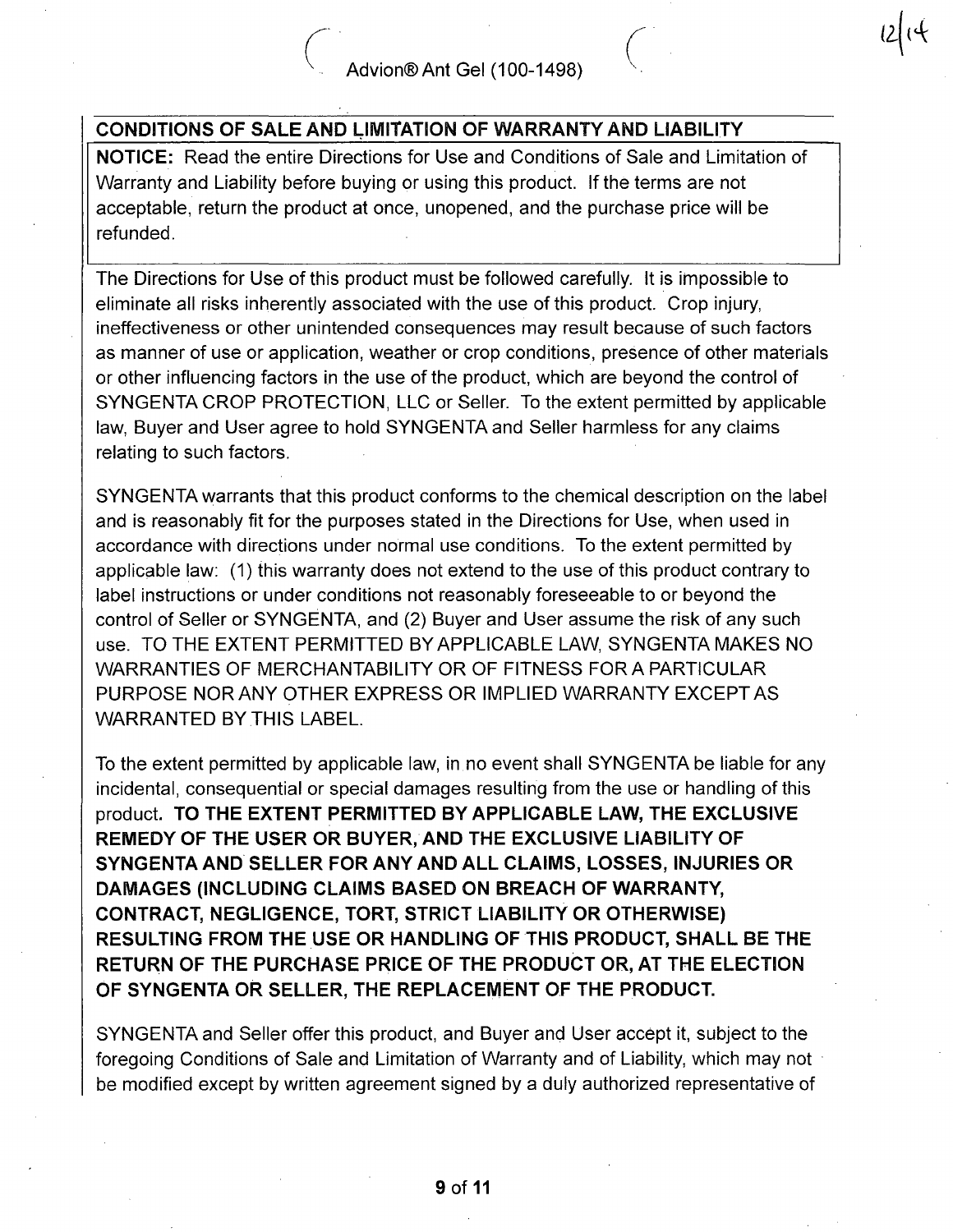# CONDITIONS OF SALE AND LIMITATION OF WARRANTY AND LIABILITY

NOTICE: Read the entire Directions for Use and Conditions of Sale and Limitation of Warranty and Liability before buying or using this product. If the terms are not acceptable, return the product at once, unopened, and the purchase price will be refunded.

The Directions for Use of this product must be followed carefully. It is impossible to eliminate all risks inherently associated with the use of this product. Crop injury, ineffectiveness or other unintended consequences may result because of such factors as manner of use or application, weather or crop conditions, presence of other materials or other influencing factors in the use of the product, which are beyond the control of SYNGENTA CROP PROTECTION, LLC or Seller. To the extent permitted by applicable law, Buyer and User agree to hold SYNGENTA and Seller harmless for any claims relating to such factors.

SYNGENTA warrants that this product conforms to the chemical description on the label and is reasonably fit for the purposes stated in the Directions for Use, when used in accordance with directions under normal use conditions. To the extent permitted by applicable law: (1) this warranty does not extend to the use of this product contrary to label instructions or under conditions not reasonably foreseeable to or beyond the control of Seller or SYNGENTA, and (2) Buyer and User assume the risk of any such use. TO THE EXTENT PERMITTED BY APPLICABLE LAW, SYNGENTA MAKES NO WARRANTIES OF MERCHANTABILITY OR OF FITNESS FOR A PARTICULAR PURPOSE NOR ANY OTHER EXPRESS OR IMPLIED WARRANTY EXCEPT AS WARRANTED BY THIS LABEL.

To the extent permitted by applicable law, in no event shall SYNGENTA be liable for any incidental, consequential or special damages resulting from the use or handling of this product. TO THE EXTENT PERMITTED BY APPLICABLE LAW, THE EXCLUSIVE REMEDY OF THE USER OR BUYER/AND THE EXCLUSIVE LIABILITY OF SYNGENTA AND SELLER FOR ANY AND ALL CLAIMS, LOSSES, INJURIES OR DAMAGES (INCLUDING CLAIMS BASED ON BREACH OF WARRANTY, CONTRACT, NEGLIGENCE, TORT, STRICT LIABILITY OR OTHERWISE) RESULTING FROM THE USE OR HANDLING OF THIS PRODUCT, SHALL BE THE RETURN OF THE PURCHASE PRICE OF THE PRODUCT OR, AT THE ELECTION OF SYNGENTA OR SELLER, THE REPLACEMENT OF THE PRODUCT.

SYNGENTA and Seller offer this product, and Buyer and User accept it, subject to the foregoing Conditions of Sale and Limitation of Warranty and of Liability, which may not be modified except by written agreement signed by a duly authorized representative of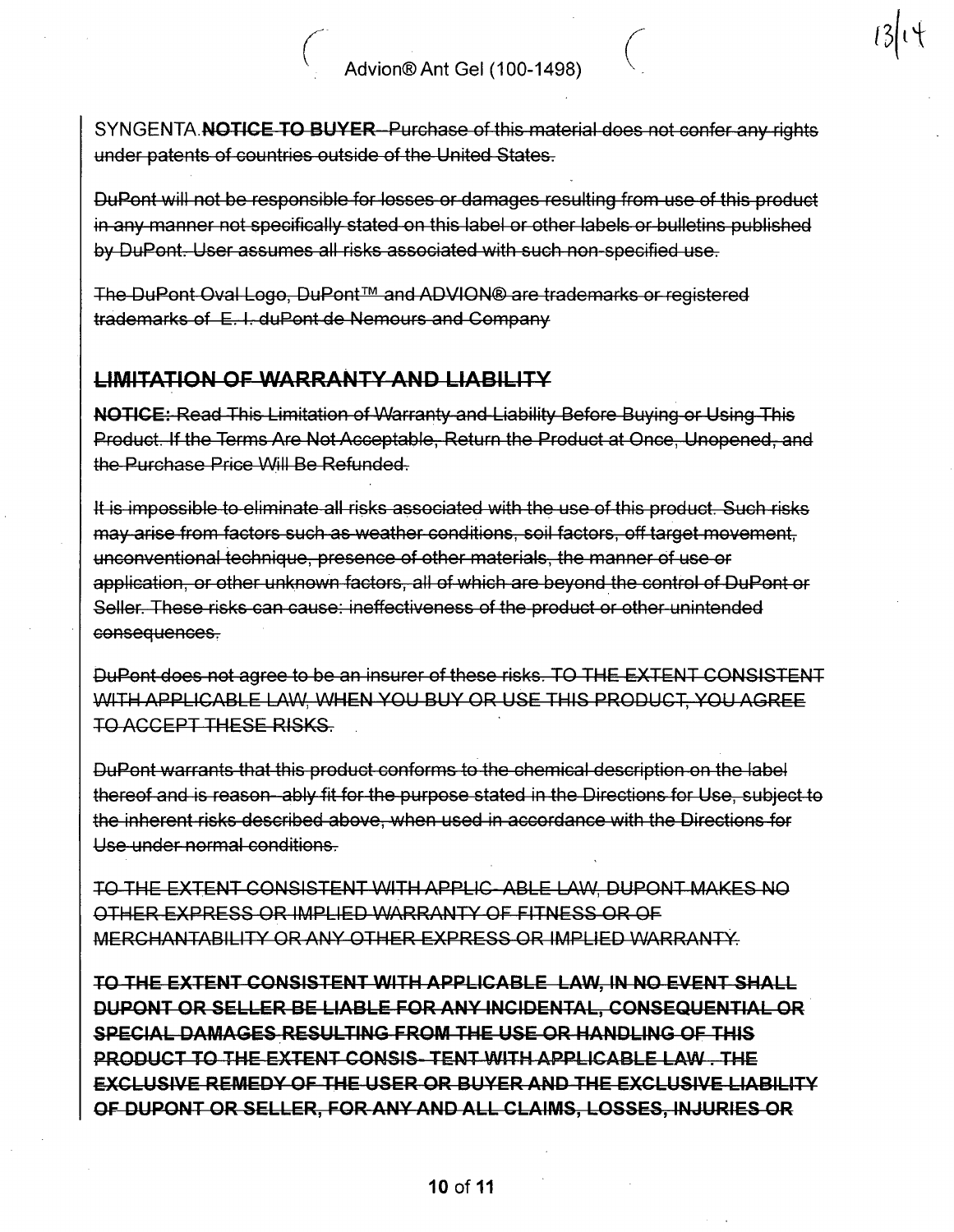SYNGENTA. NOTICE TO BUYER-Purchase of this material does not confer any rights under patents of countries outside of the United States.

DuPont will not be responsible for losses or damages resulting from use of this product in any manner not specifically stated on this label or other labels or bulletins published by DuPont. User assumes all risks associated with such non-specified use.

The DuPont Oval Logo, DuPont™ and ADVION© are trademarks or registered trademarks of E. I. duPont de Nemours and Company

## LIMITATION OF WARRANTY AND LIABILITY

v

NOTICE: Read This Limitation of Warranty and Liability Before Buying or Using This Product. If the Terms Are Not Acceptable, Return the Product at Once, Unopened, and the Purchase Price Will Be Refunded.

It is impossible to eliminate all risks associated with the use of this product. Such risks may arise from factors such as weather conditions, soil factors, off target movement, unconventional technique, presence of other materials, the manner of use or application, or other unknown factors, all of which are beyond the control of DuPont or Seller. These risks can cause: ineffectiveness of the product or other unintended consequences,

DuPont does not agree to be an insurer of these risks. TO THE EXTENT CONSISTENT WITH APPLICABLE LAW, WHEN YOU BUY OR USE THIS PRODUCT, YOU AGREE TO ACCEPT THESE RISKS.

DuPont warrants that this product conforms to the chemical description on the label thereof and is reason ably fit for the purpose stated in the Directions for Use, subject to the inherent risks described above, when used in accordance with the Directions for Use under normal conditions.

TO THE EXTENT CONSISTENT WITH APPLIC ABLE LAW, DUPONT MAKES NO OTHER EXPRESS OR IMPLIED WARRANTY OF FITNESS OR OF MERCHANTABILITY OR ANY OTHER EXPRESS OR IMPLIED WARRANTY.

TO THE EXTENT CONSISTENT WITH APPLICABLE LAW, IN NO EVENT SHALL DUPONT OR SELLER BE LIABLE FOR ANY INCIDENTAL, CONSEQUENTIAL OR SPECIAL DAMAGES RESULTING FROM THE USE OR HANDLING OF THIS PRODUCT TO THE EXTENT CONSIS-TENT WITH APPLICABLE LAW. THE EXCLUSIVE REMEDY OF THE USER OR BUYER AND THE EXCLUSIVE LIABILITY OF DUPONT OR SELLER, FOR ANY AND ALL CLAIMS, LOSSES, INJURIES OR